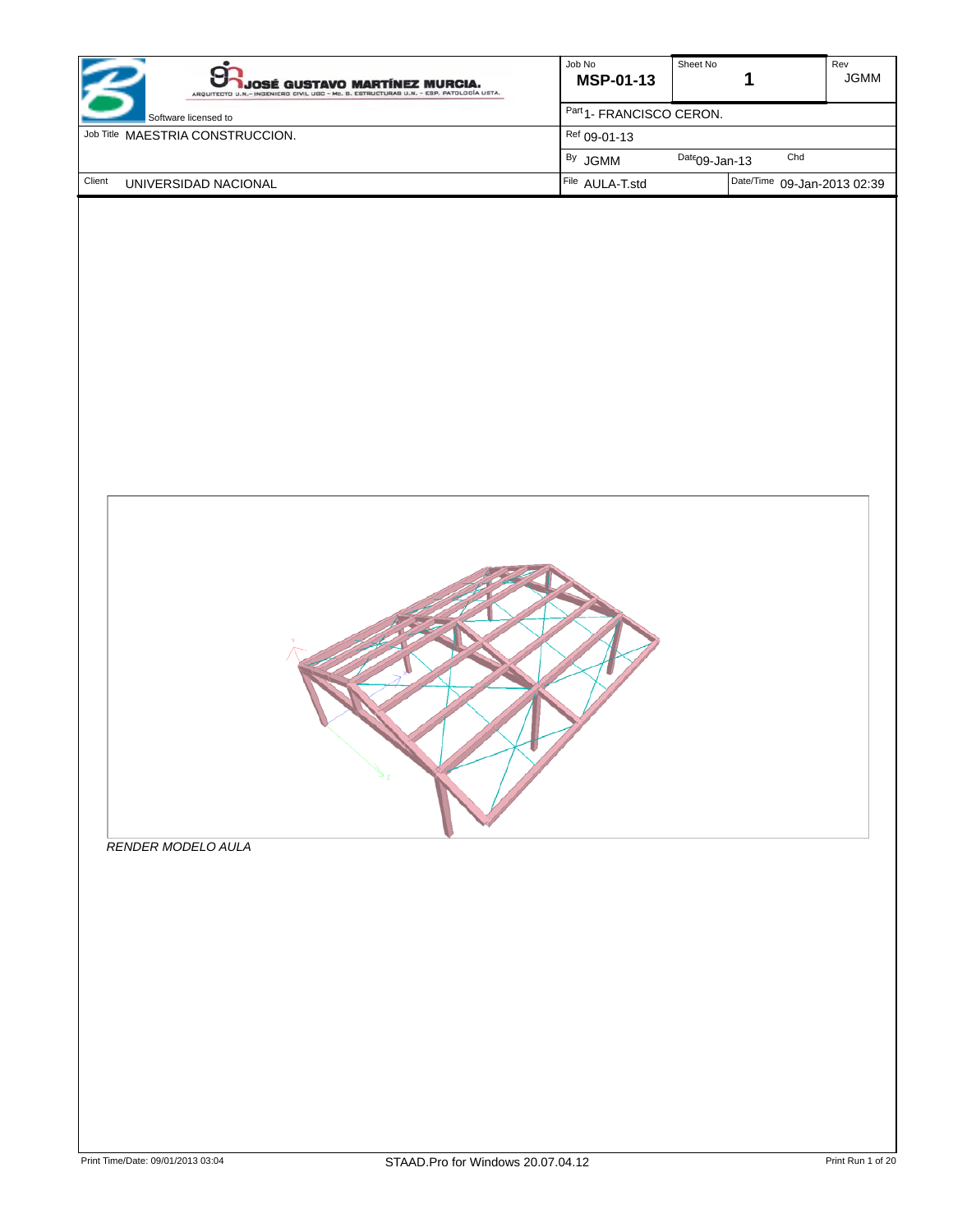| <b>JOSÉ GUSTAVO MARTÍNEZ MURCIA.</b><br>ARQUITECTO U.N.- INGENIERO CIVIL UGC - Mc. B. ESTRUCTURAS U.N. - ESP. PATOLOGÍA USTA. | Job No<br><b>MSP-01-13</b>          | Sheet No         | Rev<br><b>JGMM</b>          |  |
|-------------------------------------------------------------------------------------------------------------------------------|-------------------------------------|------------------|-----------------------------|--|
| Software licensed to                                                                                                          | Part <sub>1</sub> -FRANCISCO CERON. |                  |                             |  |
| Job Title MAESTRIA CONSTRUCCION.                                                                                              | Ref 09-01-13                        |                  |                             |  |
|                                                                                                                               | <sup>By</sup> JGMM                  | $Date09$ -Jan-13 | Chd                         |  |
| Client<br>UNIVERSIDAD NACIONAL                                                                                                | File AULA-T.std                     |                  | Date/Time 09-Jan-2013 02:39 |  |



*RENDER MODELO AULA*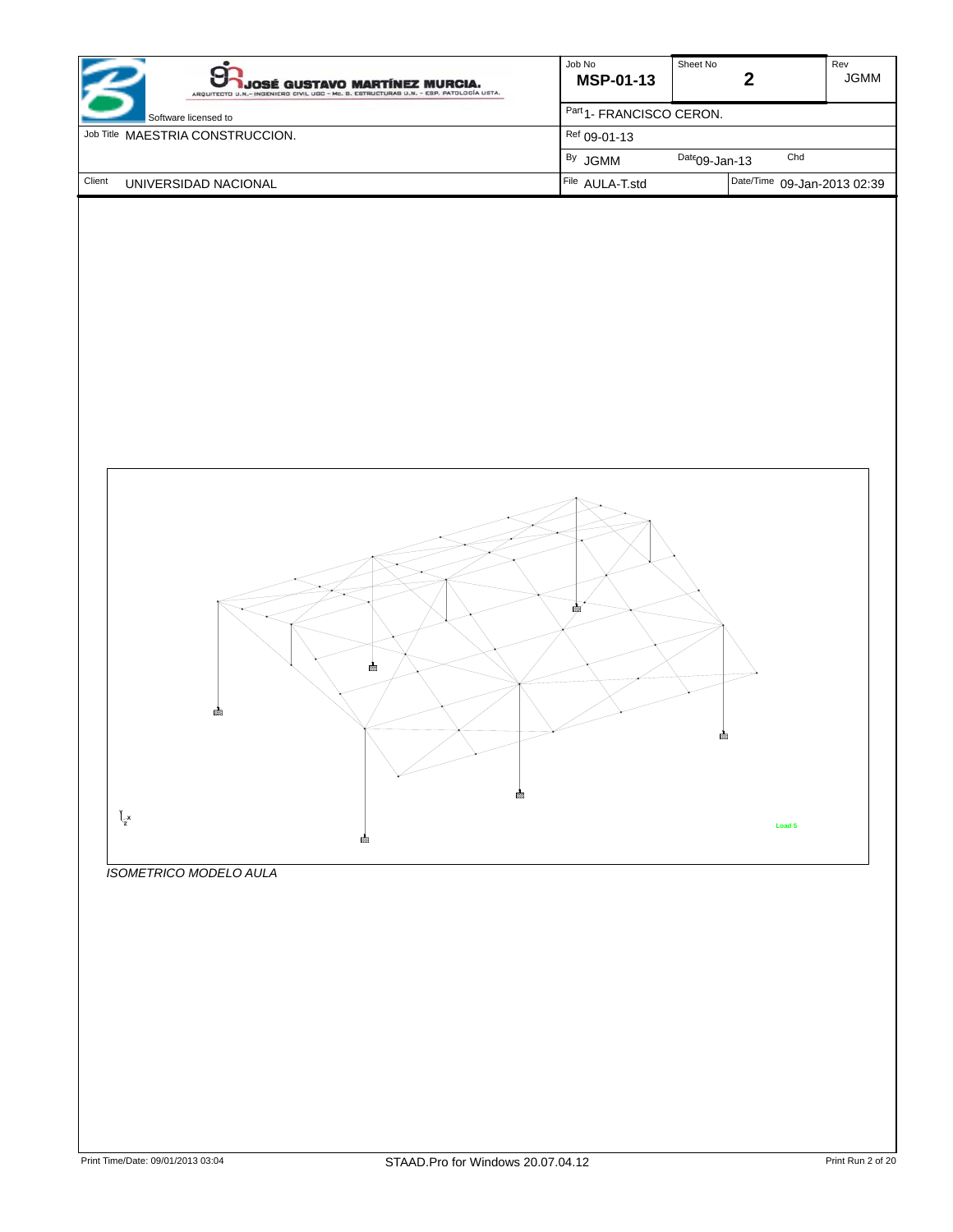| <b>JOSÉ GUSTAVO MARTÍNEZ MURCIA.</b><br>ARQUITECTO U.N.- INGENIERO CIVIL UGC - Mc. B. ESTRUCTURAS U.N. - ESP. PATOLOGÍA USTA. | Job No<br><b>MSP-01-13</b>          | Sheet No                    | Rev<br><b>JGMM</b> |
|-------------------------------------------------------------------------------------------------------------------------------|-------------------------------------|-----------------------------|--------------------|
| Software licensed to                                                                                                          | Part <sub>1</sub> -FRANCISCO CERON. |                             |                    |
| Job Title MAESTRIA CONSTRUCCION.                                                                                              | $Ref$ 09-01-13                      |                             |                    |
|                                                                                                                               | <sup>By</sup> JGMM                  | Chd<br>$Date09$ -Jan-13     |                    |
| Client<br>UNIVERSIDAD NACIONAL                                                                                                | File AULA-T.std                     | Date/Time 09-Jan-2013 02:39 |                    |



*ISOMETRICO MODELO AULA*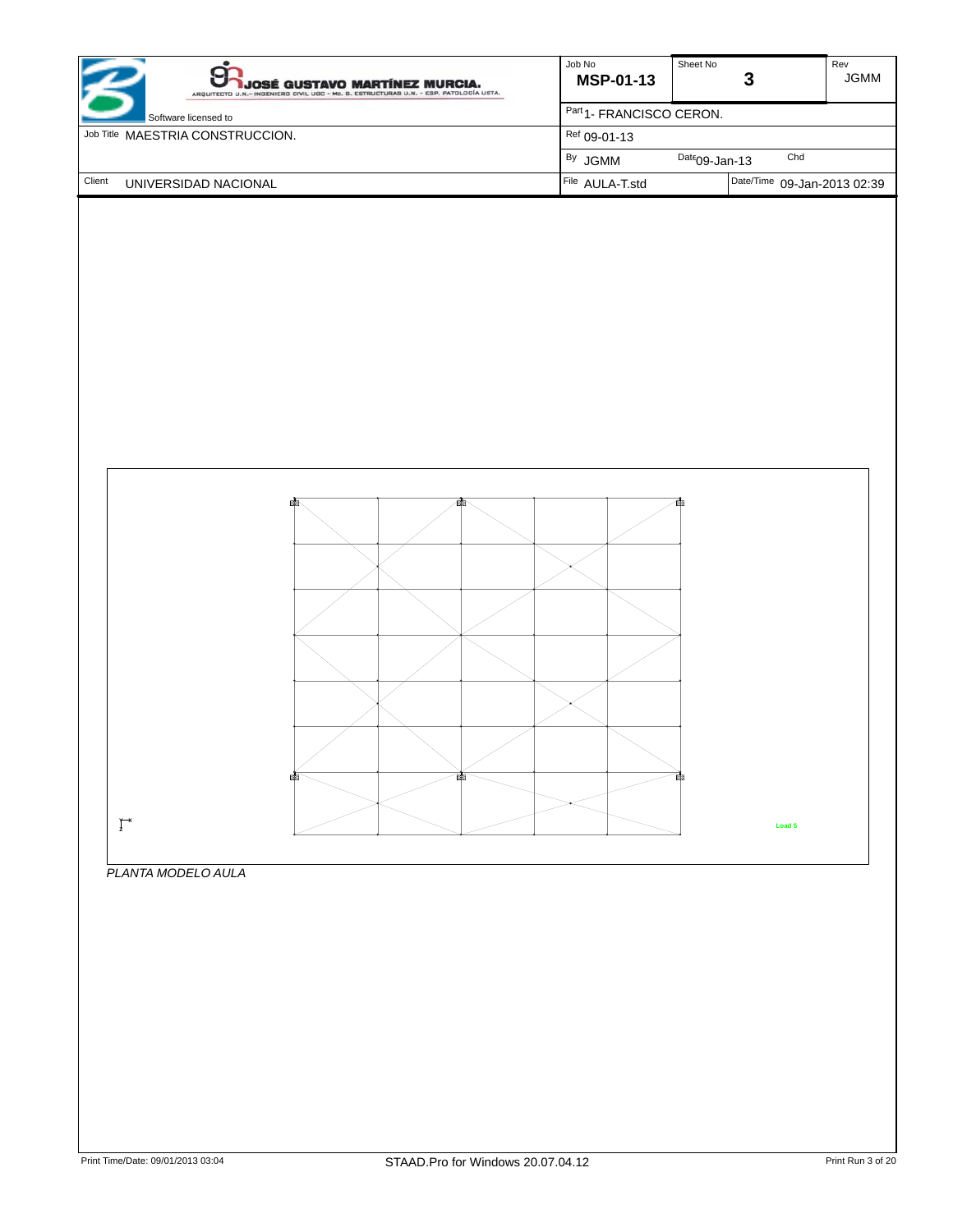| JOSÉ GUSTAVO MARTÍNEZ MURCIA.<br>ARQUITECTO U.N.- INGENIERO CIVIL UGC - Mc. B. ESTRUCTURAS U.N. - ESP. PATOLOGÍA USTA. | Job No<br><b>MSP-01-13</b>          | Sheet No         |                             | Rev<br><b>JGMM</b> |
|------------------------------------------------------------------------------------------------------------------------|-------------------------------------|------------------|-----------------------------|--------------------|
| Software licensed to                                                                                                   | Part <sub>1</sub> -FRANCISCO CERON. |                  |                             |                    |
| Job Title MAESTRIA CONSTRUCCION.                                                                                       | $Ref$ 09-01-13                      |                  |                             |                    |
|                                                                                                                        | <sup>By</sup> JGMM                  | $Date09$ -Jan-13 | Chd                         |                    |
| Client<br>UNIVERSIDAD NACIONAL                                                                                         | File AULA-T.std                     |                  | Date/Time 09-Jan-2013 02:39 |                    |



## *PLANTA MODELO AULA*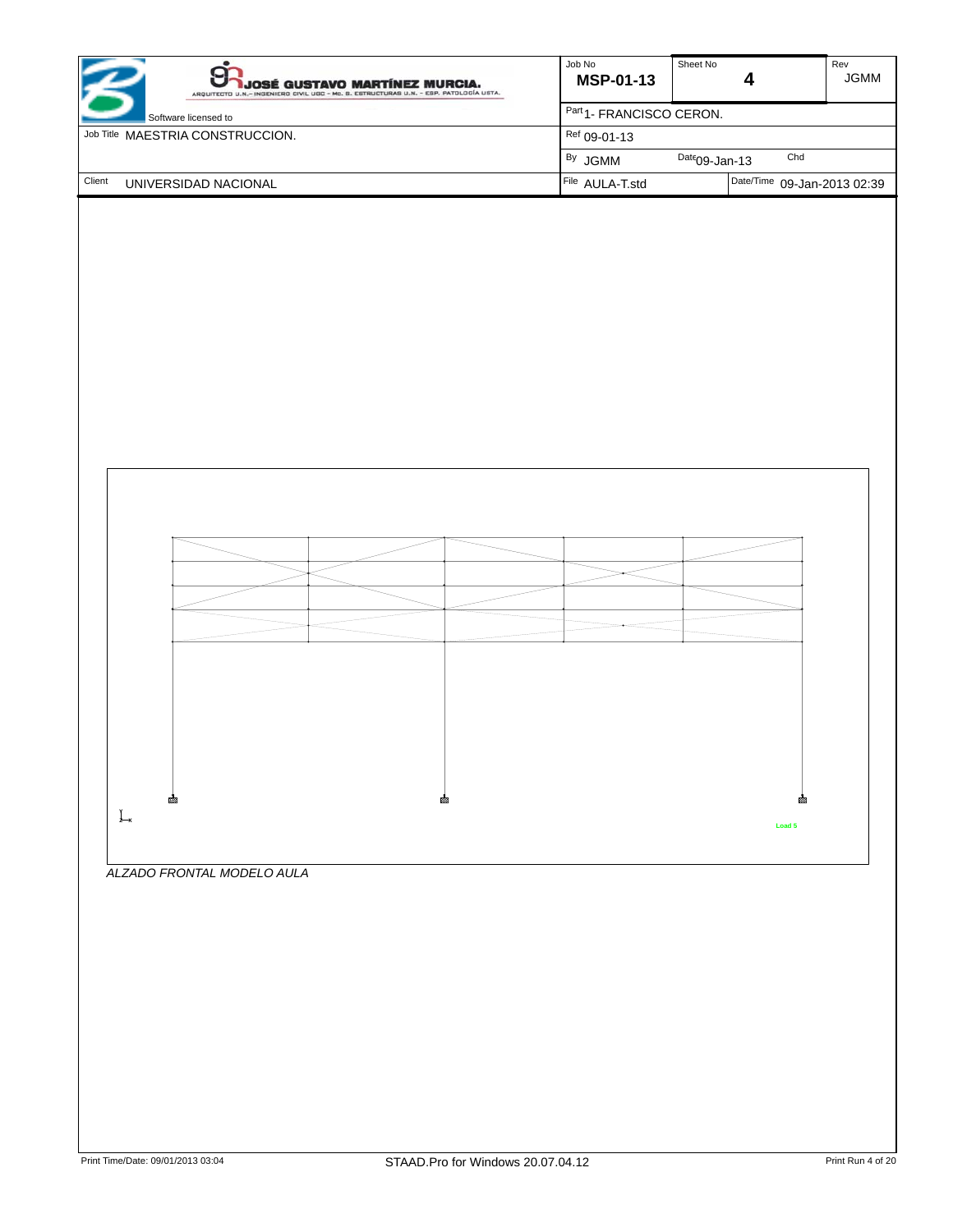



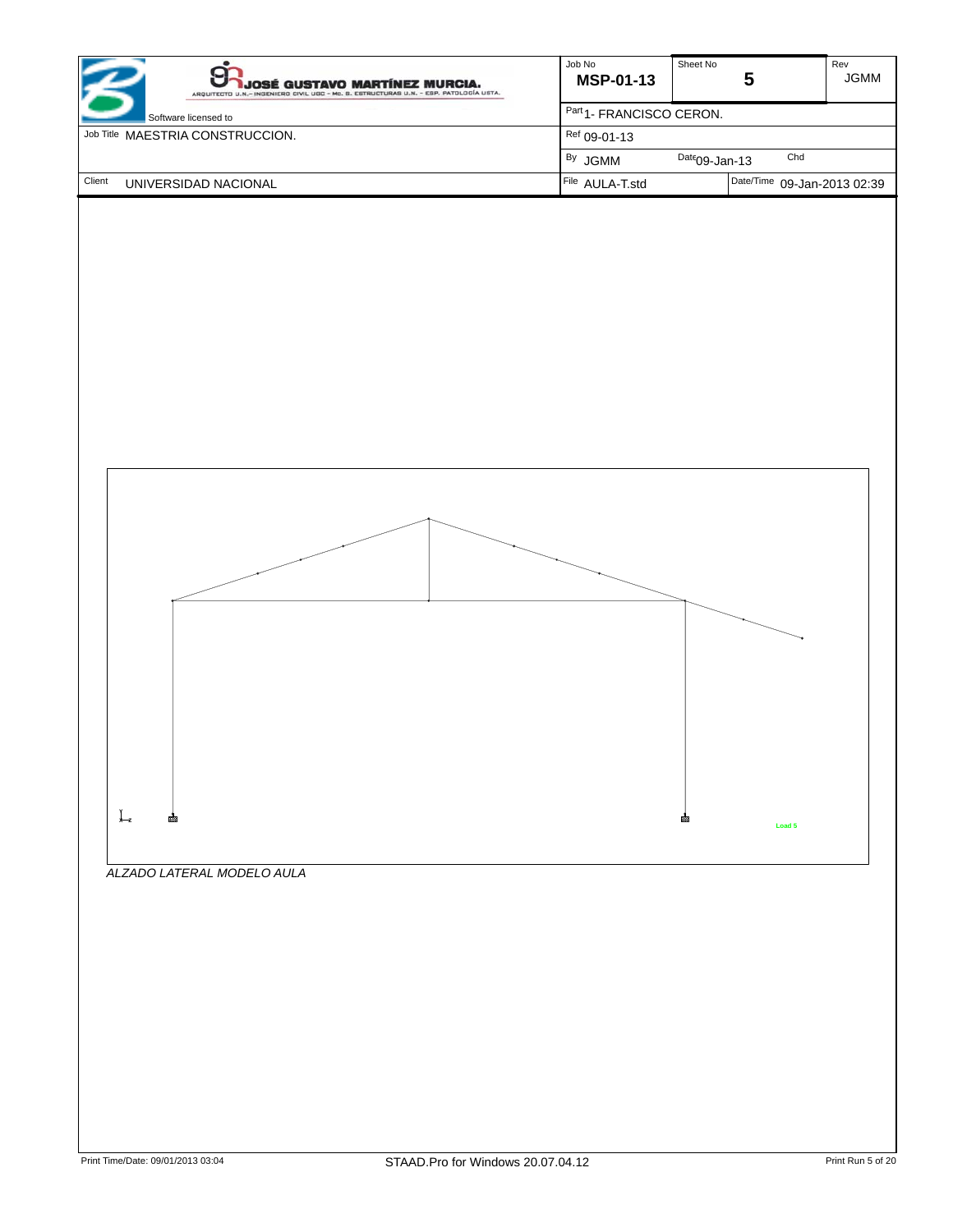| JOSÉ GUSTAVO MARTÍNEZ MURCIA.<br>ARQUITECTO U.N.- INGENIERO CIVIL UGC - Mc. S. ESTRUCTURAS U.N. - ESP. PATOLOGÍA USTA. | Job No<br><b>MSP-01-13</b>         | Sheet No         |                             | Rev<br><b>JGMM</b> |
|------------------------------------------------------------------------------------------------------------------------|------------------------------------|------------------|-----------------------------|--------------------|
| Software licensed to                                                                                                   | Part <sub>1</sub> FRANCISCO CERON. |                  |                             |                    |
| Job Title MAESTRIA CONSTRUCCION.                                                                                       | $Ref$ 09-01-13                     |                  |                             |                    |
|                                                                                                                        | <sup>By</sup> JGMM                 | $Date09$ -Jan-13 | Chd                         |                    |
| Client<br>UNIVERSIDAD NACIONAL                                                                                         | File AULA-T.std                    |                  | Date/Time 09-Jan-2013 02:39 |                    |



*ALZADO LATERAL MODELO AULA*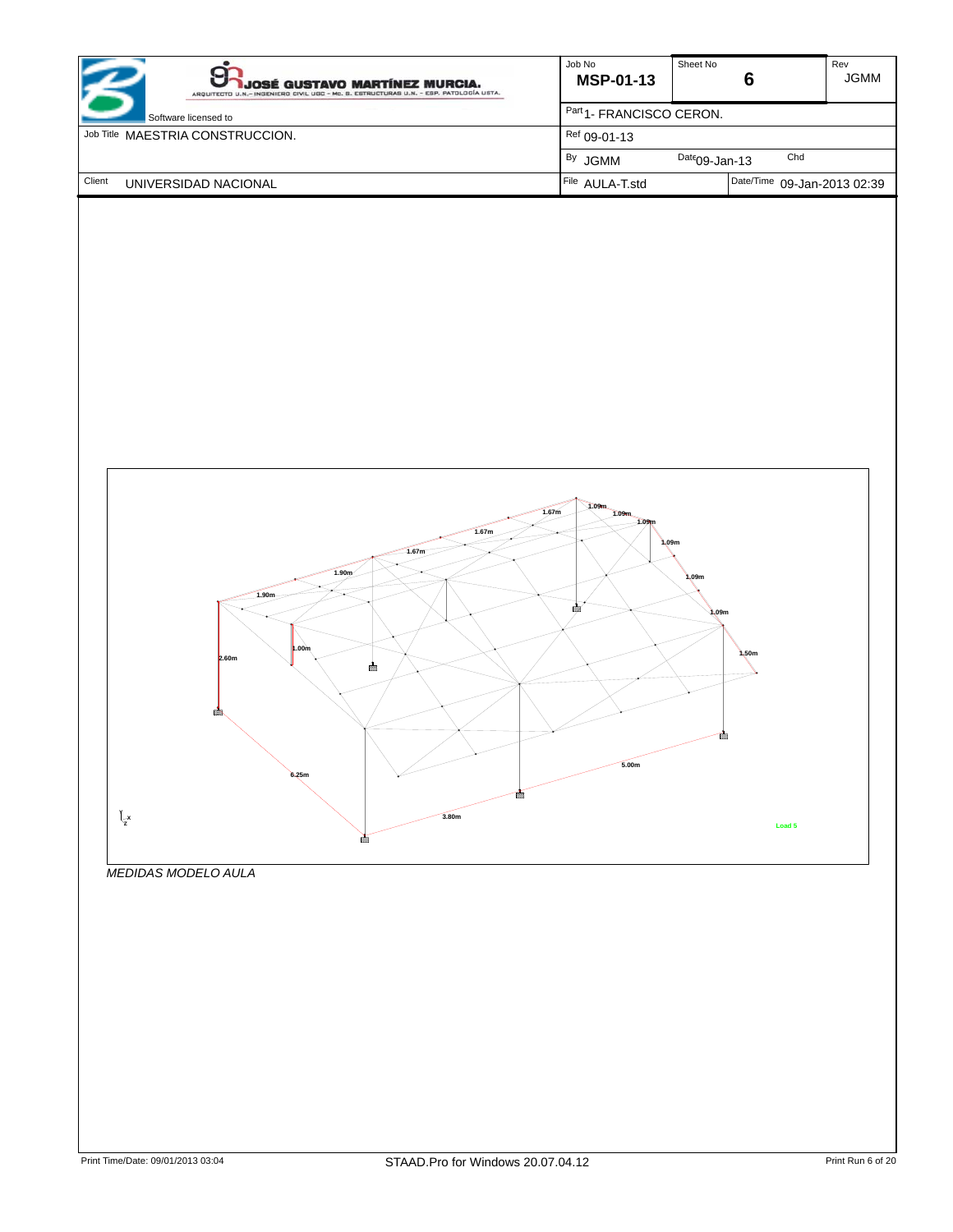| <b>JOSÉ GUSTAVO MARTÍNEZ MURCIA.</b><br>ARQUITECTO U.N.- INGENIERO CIVIL UGC - Mc. B. ESTRUCTURAS U.N. - ESP. PATOLOGÍA USTA. | Job No<br><b>MSP-01-13</b>          | Sheet No                    | Rev<br><b>JGMM</b> |
|-------------------------------------------------------------------------------------------------------------------------------|-------------------------------------|-----------------------------|--------------------|
| Software licensed to                                                                                                          | Part <sub>1</sub> -FRANCISCO CERON. |                             |                    |
| Job Title MAESTRIA CONSTRUCCION.                                                                                              | $Ref$ 09-01-13                      |                             |                    |
|                                                                                                                               | <sup>By</sup> JGMM                  | Chd<br>$Date09$ -Jan-13     |                    |
| Client<br>UNIVERSIDAD NACIONAL                                                                                                | File AULA-T.std                     | Date/Time 09-Jan-2013 02:39 |                    |



*MEDIDAS MODELO AULA*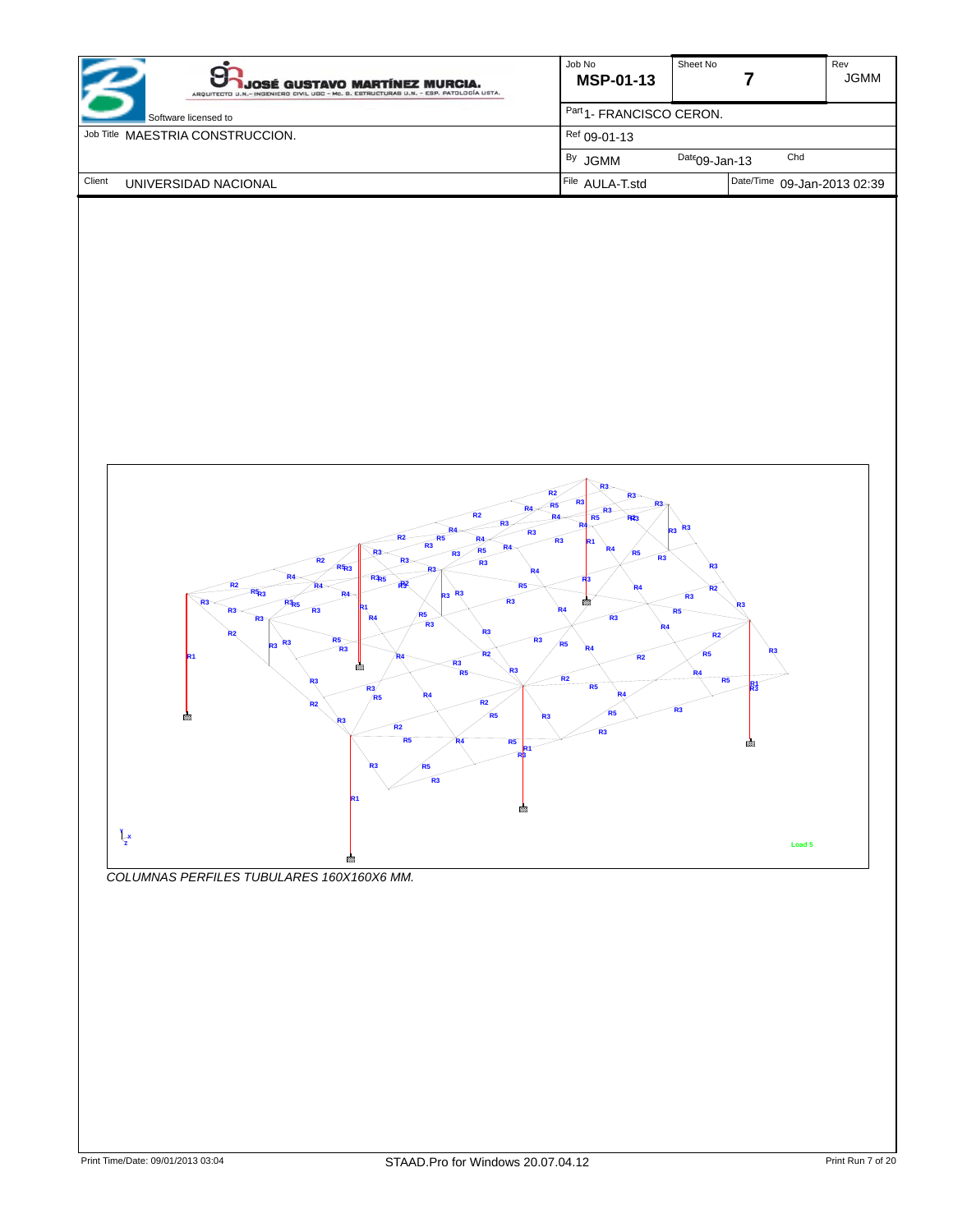| <b>JOSÉ GUSTAVO MARTÍNEZ MURCIA.</b><br>ARQUITECTO U.N.- INGENIERO CIVIL UGC - Mc. B. ESTRUCTURAS U.N. - ESP. PATOLOGÍA USTA. | Job No<br><b>MSP-01-13</b>          | Sheet No                    | Rev<br><b>JGMM</b> |
|-------------------------------------------------------------------------------------------------------------------------------|-------------------------------------|-----------------------------|--------------------|
| Software licensed to                                                                                                          | Part <sub>1</sub> -FRANCISCO CERON. |                             |                    |
| Job Title MAESTRIA CONSTRUCCION.                                                                                              | $Ref$ 09-01-13                      |                             |                    |
|                                                                                                                               | <sup>By</sup> JGMM                  | Chd<br>$Date09$ -Jan-13     |                    |
| Client<br>UNIVERSIDAD NACIONAL                                                                                                | File AULA-T.std                     | Date/Time 09-Jan-2013 02:39 |                    |



*COLUMNAS PERFILES TUBULARES 160X160X6 MM.*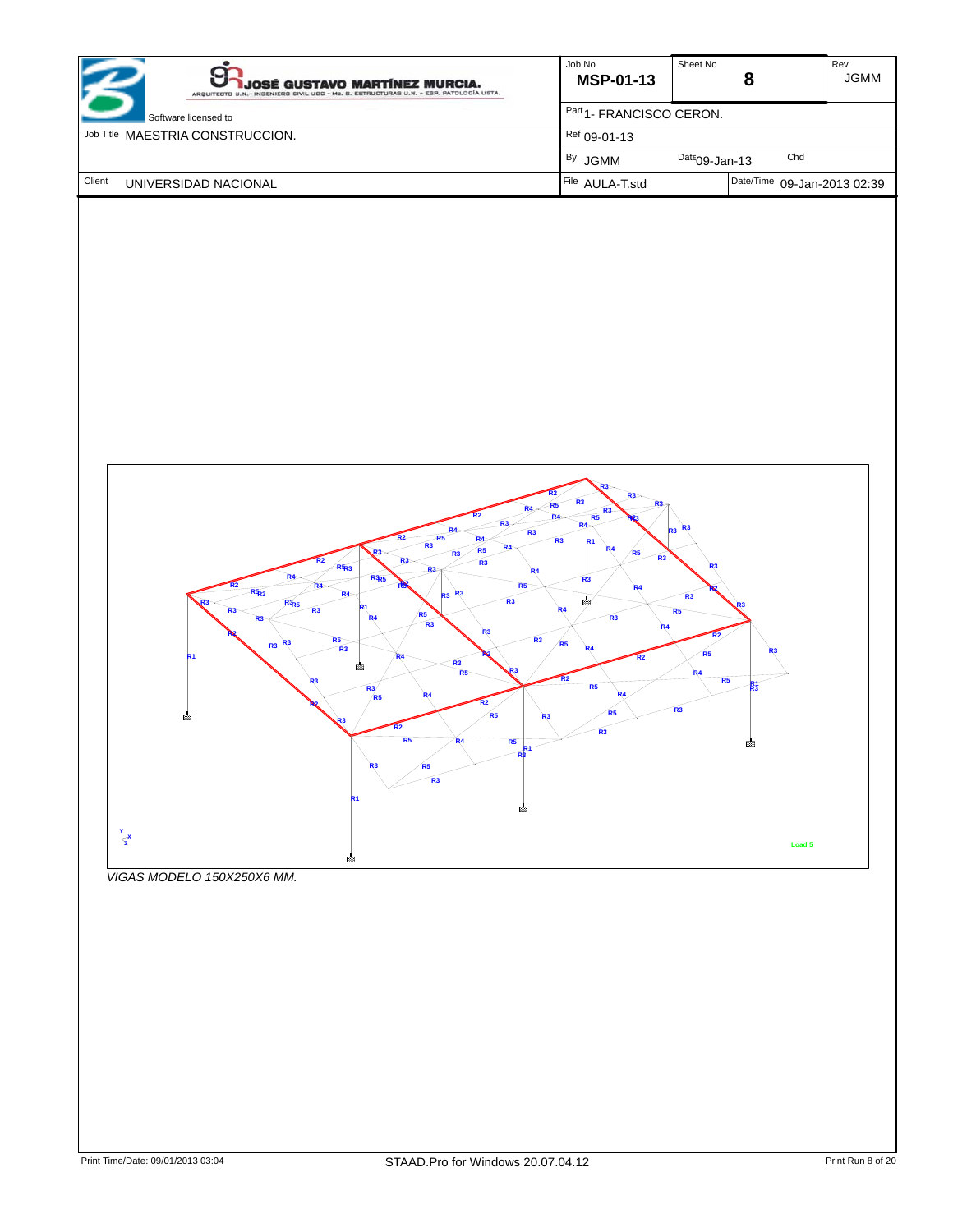| <b>JOSÉ GUSTAVO MARTÍNEZ MURCIA.</b><br>ARQUITECTO U.N.- INGENIERO CIVIL UGC - Mc. B. ESTRUCTURAS U.N. - ESP. PATOLOGÍA USTA. | Job No<br><b>MSP-01-13</b>          | Sheet No                    | Rev<br><b>JGMM</b> |
|-------------------------------------------------------------------------------------------------------------------------------|-------------------------------------|-----------------------------|--------------------|
| Software licensed to                                                                                                          | Part <sub>1</sub> -FRANCISCO CERON. |                             |                    |
| Job Title MAESTRIA CONSTRUCCION.                                                                                              | $Ref$ 09-01-13                      |                             |                    |
|                                                                                                                               | <sup>By</sup> JGMM                  | Chd<br>$Date09$ -Jan-13     |                    |
| Client<br>UNIVERSIDAD NACIONAL                                                                                                | File AULA-T.std                     | Date/Time 09-Jan-2013 02:39 |                    |



*VIGAS MODELO 150X250X6 MM.*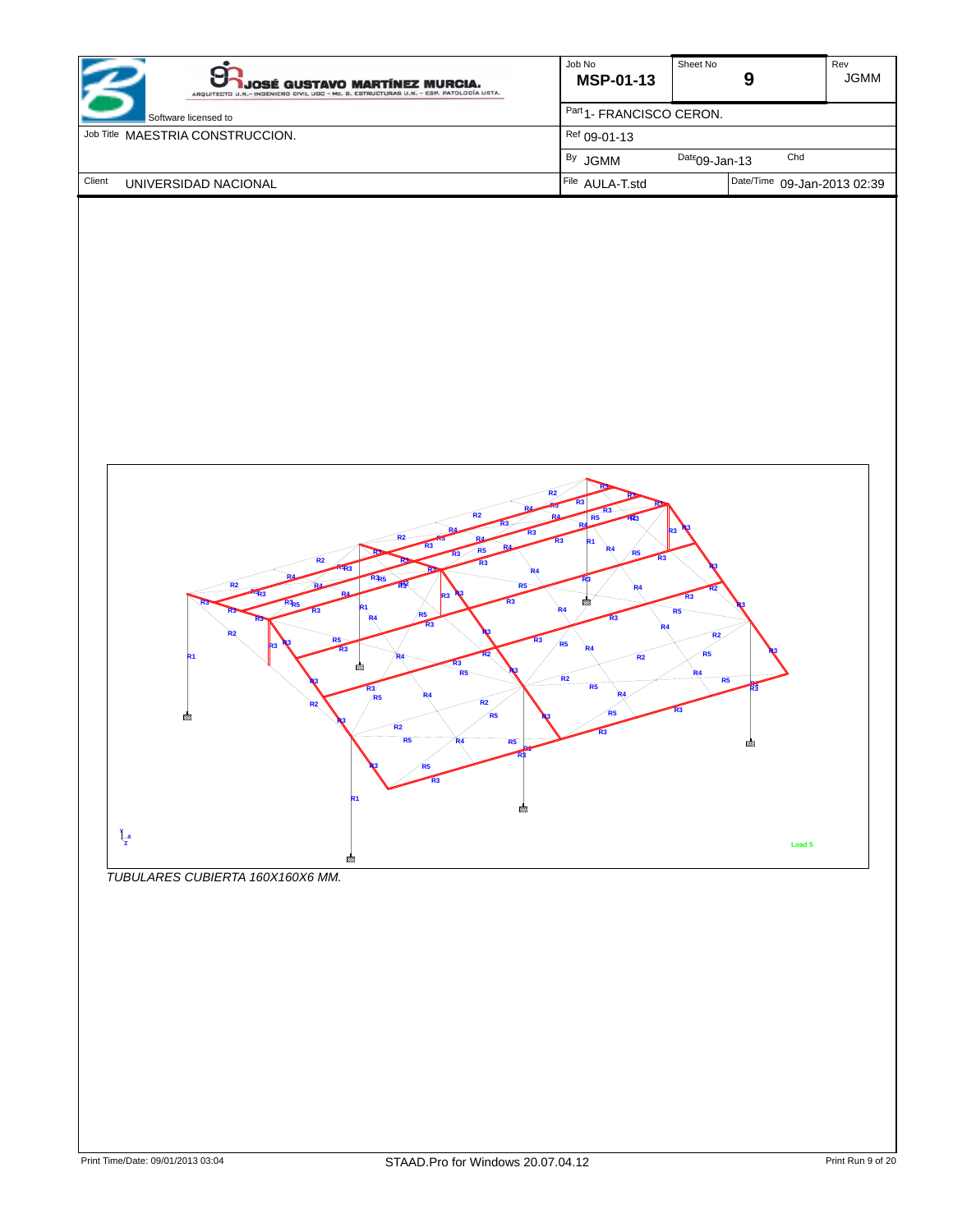| <b>JOSÉ GUSTAVO MARTÍNEZ MURCIA.</b><br>ARQUITECTO U.N.- INGENIERO CIVIL UGC - Mc. B. ESTRUCTURAS U.N. - ESP. PATOLOGÍA USTA. | Job No<br><b>MSP-01-13</b>          | Sheet No                    | Rev<br><b>JGMM</b> |
|-------------------------------------------------------------------------------------------------------------------------------|-------------------------------------|-----------------------------|--------------------|
| Software licensed to                                                                                                          | Part <sub>1</sub> -FRANCISCO CERON. |                             |                    |
| Job Title MAESTRIA CONSTRUCCION.                                                                                              | $Ref$ 09-01-13                      |                             |                    |
|                                                                                                                               | <sup>By</sup> JGMM                  | Chd<br>$Date09$ -Jan-13     |                    |
| Client<br>UNIVERSIDAD NACIONAL                                                                                                | File AULA-T.std                     | Date/Time 09-Jan-2013 02:39 |                    |



*TUBULARES CUBIERTA 160X160X6 MM.*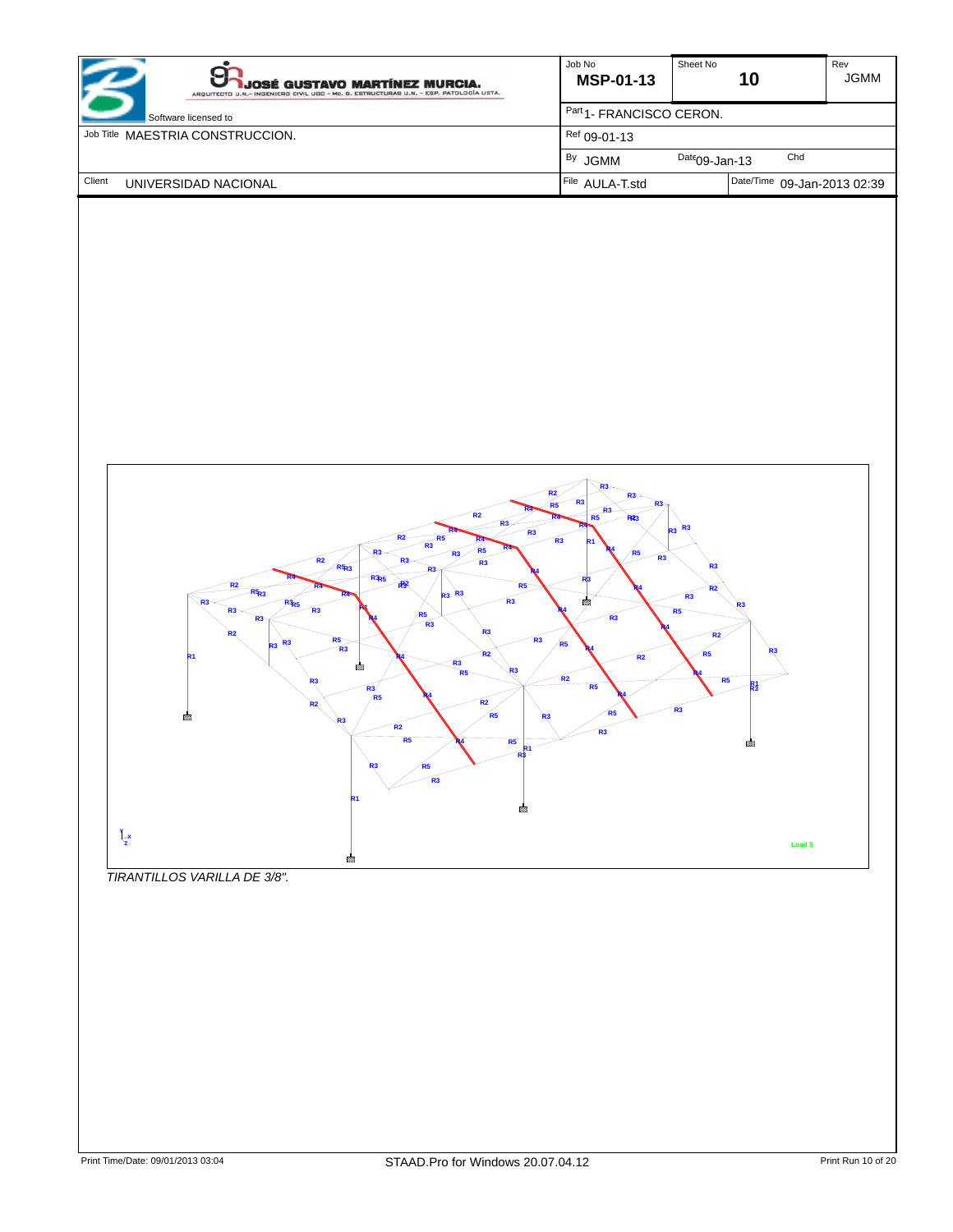| <b>JOSÉ GUSTAVO MARTÍNEZ MURCIA.</b><br>ARQUITECTO U.N.- INGENIERO CIVIL UGC - Mc. B. ESTRUCTURAS U.N. - ESP. PATOLOGÍA USTA. | Job No<br><b>MSP-01-13</b>          | Sheet No<br>10              | Rev<br><b>JGMM</b> |
|-------------------------------------------------------------------------------------------------------------------------------|-------------------------------------|-----------------------------|--------------------|
| Software licensed to                                                                                                          | Part <sub>1</sub> -FRANCISCO CERON. |                             |                    |
| Job Title MAESTRIA CONSTRUCCION.                                                                                              | Ref 09-01-13                        |                             |                    |
|                                                                                                                               | <sup>By</sup> JGMM                  | Chd<br>$Date09$ -Jan-13     |                    |
| Client<br>UNIVERSIDAD NACIONAL                                                                                                | File AULA-T.std                     | Date/Time 09-Jan-2013 02:39 |                    |



*TIRANTILLOS VARILLA DE 3/8".*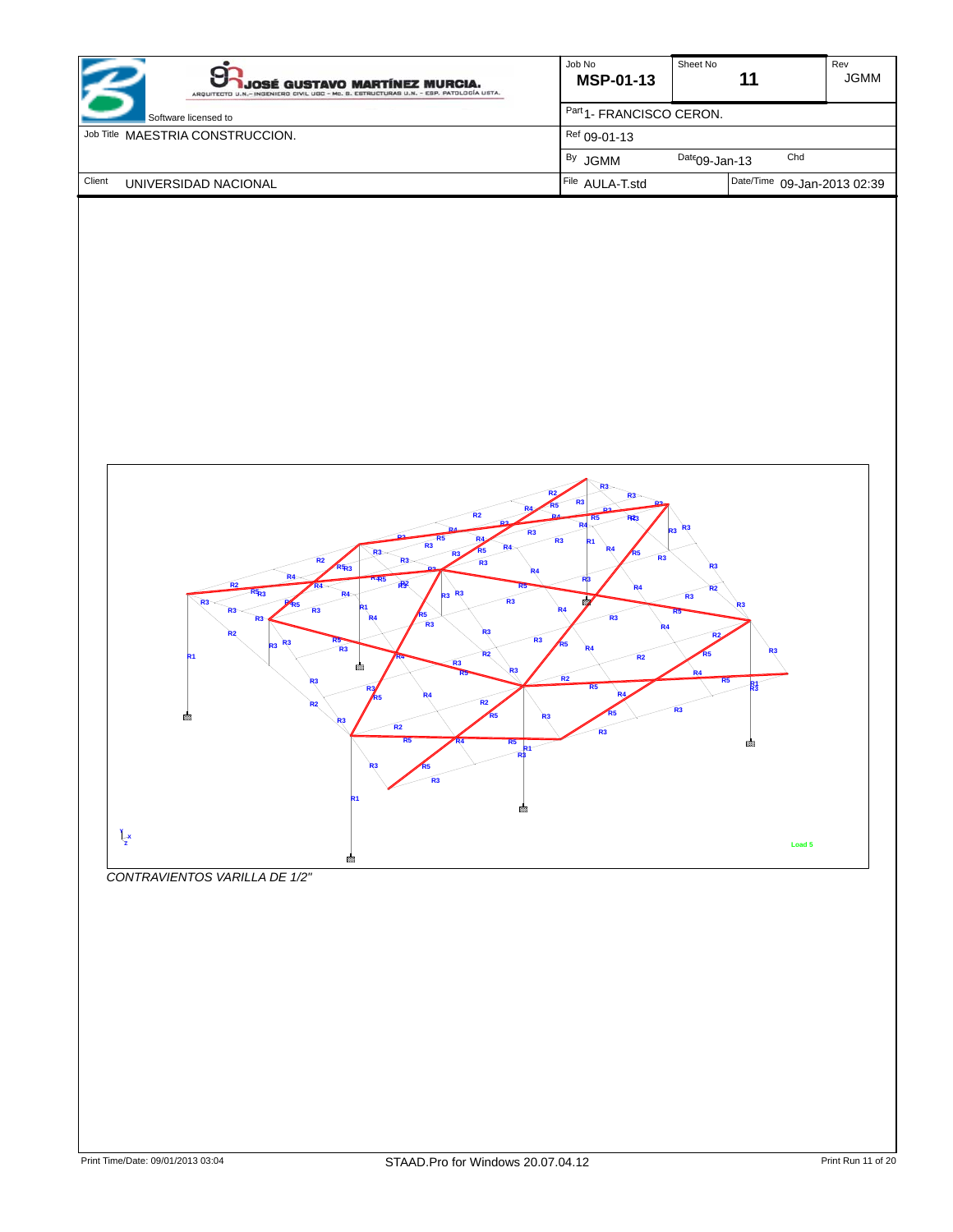| <b>JOSÉ GUSTAVO MARTÍNEZ MURCIA.</b><br>ARQUITECTO U.N.- INGENIERO CIVIL UGC - Mc. B. ESTRUCTURAS U.N. - ESP. PATOLOGÍA USTA. | Job No<br><b>MSP-01-13</b>          | Sheet No<br>11              | Rev<br><b>JGMM</b> |
|-------------------------------------------------------------------------------------------------------------------------------|-------------------------------------|-----------------------------|--------------------|
| Software licensed to                                                                                                          | Part <sub>1</sub> -FRANCISCO CERON. |                             |                    |
| Job Title MAESTRIA CONSTRUCCION.                                                                                              | $Ref$ 09-01-13                      |                             |                    |
|                                                                                                                               | <sup>By</sup> JGMM                  | Chd<br>$Date09$ -Jan-13     |                    |
| Client<br>UNIVERSIDAD NACIONAL                                                                                                | File AULA-T.std                     | Date/Time 09-Jan-2013 02:39 |                    |

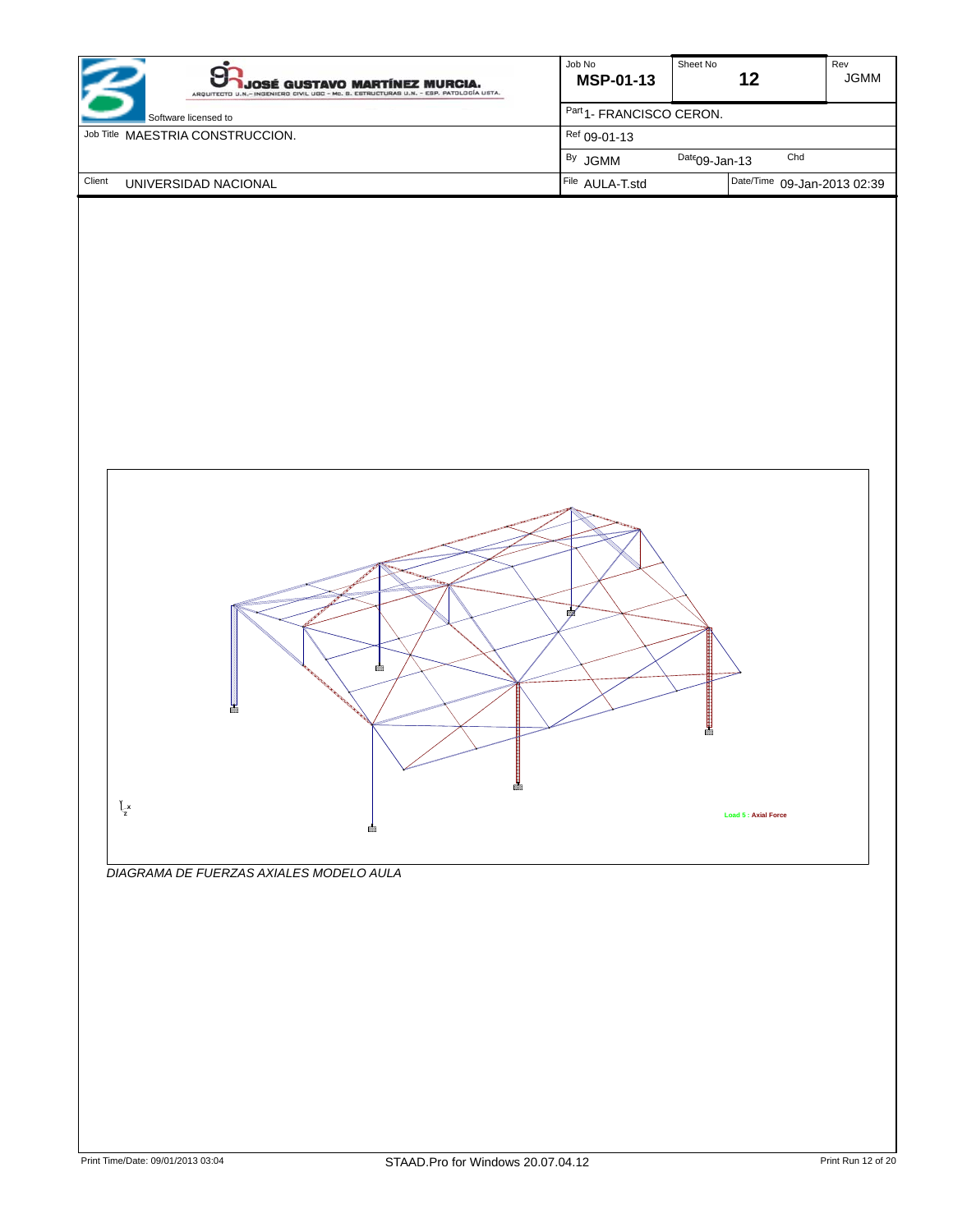| <b>JOSÉ GUSTAVO MARTÍNEZ MURCIA.</b><br>ARQUITECTO U.N.- INGENIERO CIVIL UGC - Mc. B. ESTRUCTURAS U.N. - ESP. PATOLOGÍA USTA. | Job No<br><b>MSP-01-13</b>          | Sheet No<br>12              | Rev<br><b>JGMM</b> |
|-------------------------------------------------------------------------------------------------------------------------------|-------------------------------------|-----------------------------|--------------------|
| Software licensed to                                                                                                          | Part <sub>1</sub> -FRANCISCO CERON. |                             |                    |
| Job Title MAESTRIA CONSTRUCCION.                                                                                              | Ref 09-01-13                        |                             |                    |
|                                                                                                                               | <sup>By</sup> JGMM                  | Chd<br>$Date09$ -Jan-13     |                    |
| Client<br>UNIVERSIDAD NACIONAL                                                                                                | File AULA-T.std                     | Date/Time 09-Jan-2013 02:39 |                    |



*DIAGRAMA DE FUERZAS AXIALES MODELO AULA*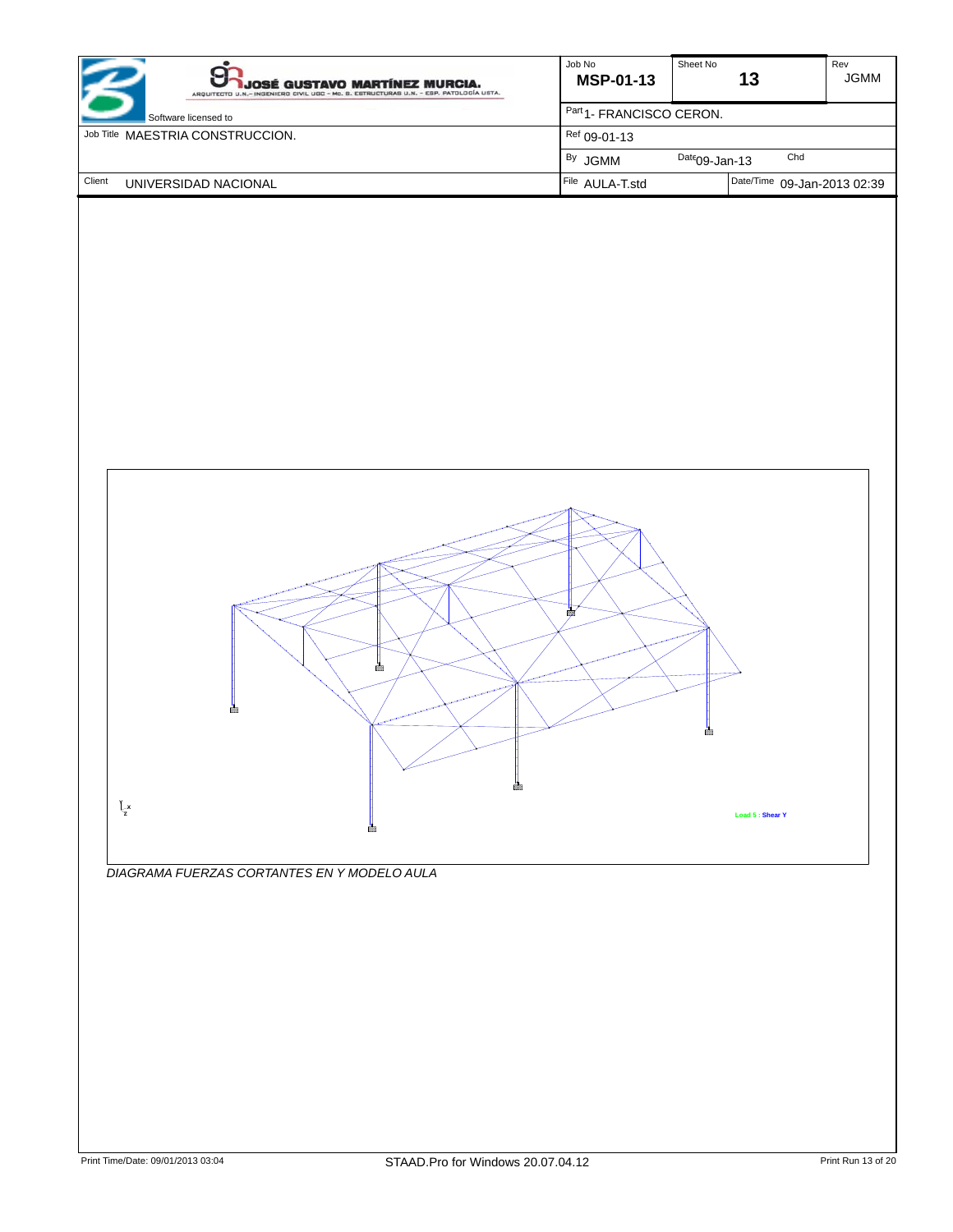| JOSÉ GUSTAVO MARTÍNEZ MURCIA.<br>ARQUITECTO U.N.- INGENIERO CIVIL UGC - Mc. B. ESTRUCTURAS U.N. - ESP. PATOLOGÍA USTA. | Job No<br><b>MSP-01-13</b>          | Sheet No         | 13                          | Rev<br><b>JGMM</b> |
|------------------------------------------------------------------------------------------------------------------------|-------------------------------------|------------------|-----------------------------|--------------------|
| Software licensed to                                                                                                   | Part <sub>1</sub> -FRANCISCO CERON. |                  |                             |                    |
| Job Title MAESTRIA CONSTRUCCION.                                                                                       | $Ref$ 09-01-13                      |                  |                             |                    |
|                                                                                                                        | <sup>By</sup> JGMM                  | $Date09$ -Jan-13 | Chd                         |                    |
| Client<br>UNIVERSIDAD NACIONAL                                                                                         | File AULA-T.std                     |                  | Date/Time 09-Jan-2013 02:39 |                    |



*DIAGRAMA FUERZAS CORTANTES EN Y MODELO AULA*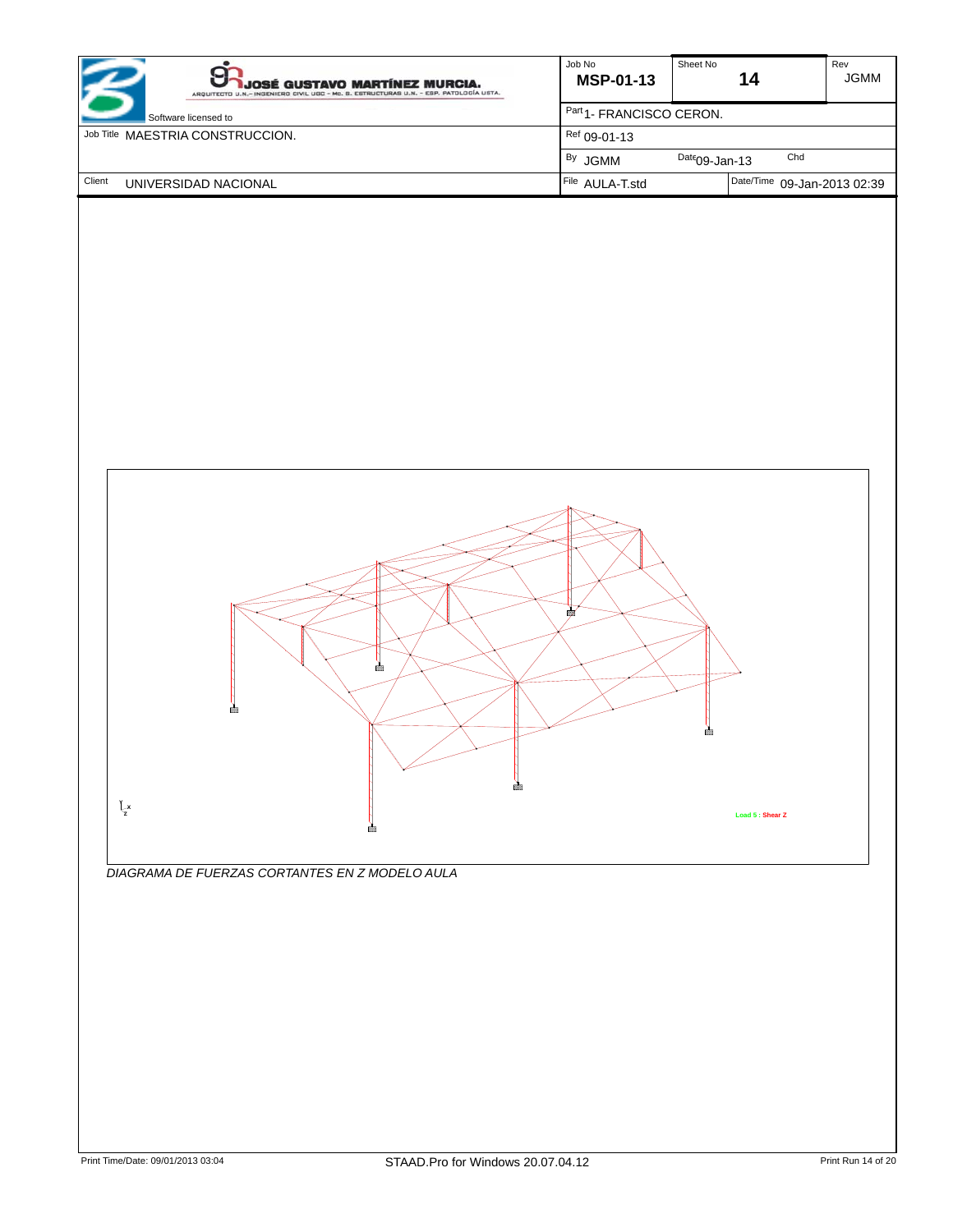| <b>JOSÉ GUSTAVO MARTÍNEZ MURCIA.</b><br>ARQUITECTO U.N.- INGENIERO CIVIL UGC - Mc. B. ESTRUCTURAS U.N. - ESP. PATOLOGÍA USTA. | Job No<br><b>MSP-01-13</b>          | Sheet No<br>14              | Rev<br><b>JGMM</b> |  |
|-------------------------------------------------------------------------------------------------------------------------------|-------------------------------------|-----------------------------|--------------------|--|
| Software licensed to                                                                                                          | Part <sub>1</sub> -FRANCISCO CERON. |                             |                    |  |
| Job Title MAESTRIA CONSTRUCCION.                                                                                              | Ref 09-01-13                        |                             |                    |  |
|                                                                                                                               | <sup>By</sup> JGMM                  | Chd<br>$Date09$ -Jan-13     |                    |  |
| Client<br>UNIVERSIDAD NACIONAL                                                                                                | File AULA-T.std                     | Date/Time 09-Jan-2013 02:39 |                    |  |



*DIAGRAMA DE FUERZAS CORTANTES EN Z MODELO AULA*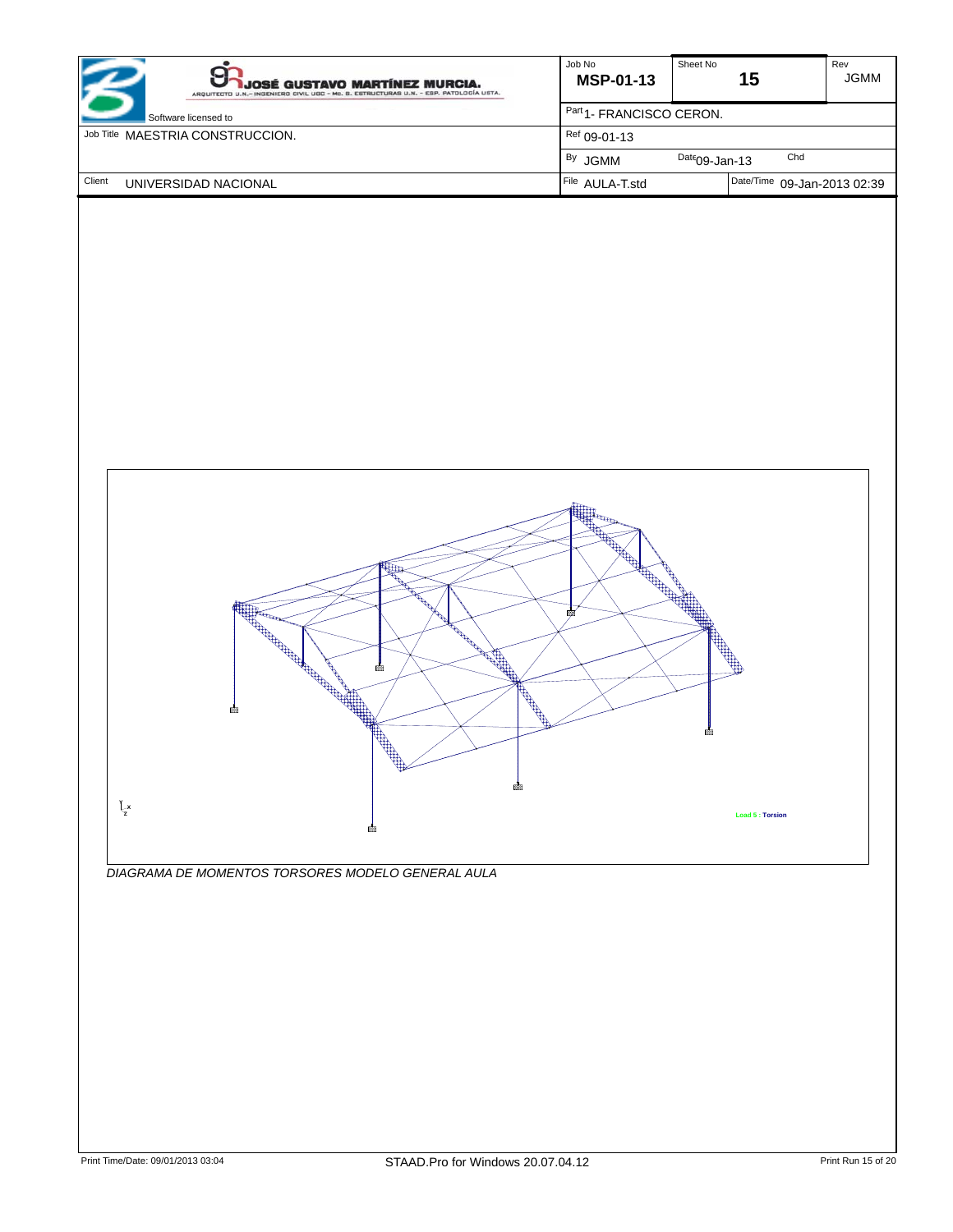| <b>JOSÉ GUSTAVO MARTÍNEZ MURCIA.</b><br>ARQUITECTO U.N.- INGENIERO CIVIL UGC - Mc. B. ESTRUCTURAS U.N. - ESP. PATOLOGÍA USTA. | Job No<br><b>MSP-01-13</b>          | Sheet No<br>15              | Rev<br><b>JGMM</b> |  |
|-------------------------------------------------------------------------------------------------------------------------------|-------------------------------------|-----------------------------|--------------------|--|
| Software licensed to                                                                                                          | Part <sub>1</sub> -FRANCISCO CERON. |                             |                    |  |
| Job Title MAESTRIA CONSTRUCCION.                                                                                              | Ref 09-01-13                        |                             |                    |  |
|                                                                                                                               | <sup>By</sup> JGMM                  | Chd<br>$Date09$ -Jan-13     |                    |  |
| Client<br>UNIVERSIDAD NACIONAL                                                                                                | File AULA-T.std                     | Date/Time 09-Jan-2013 02:39 |                    |  |



*DIAGRAMA DE MOMENTOS TORSORES MODELO GENERAL AULA*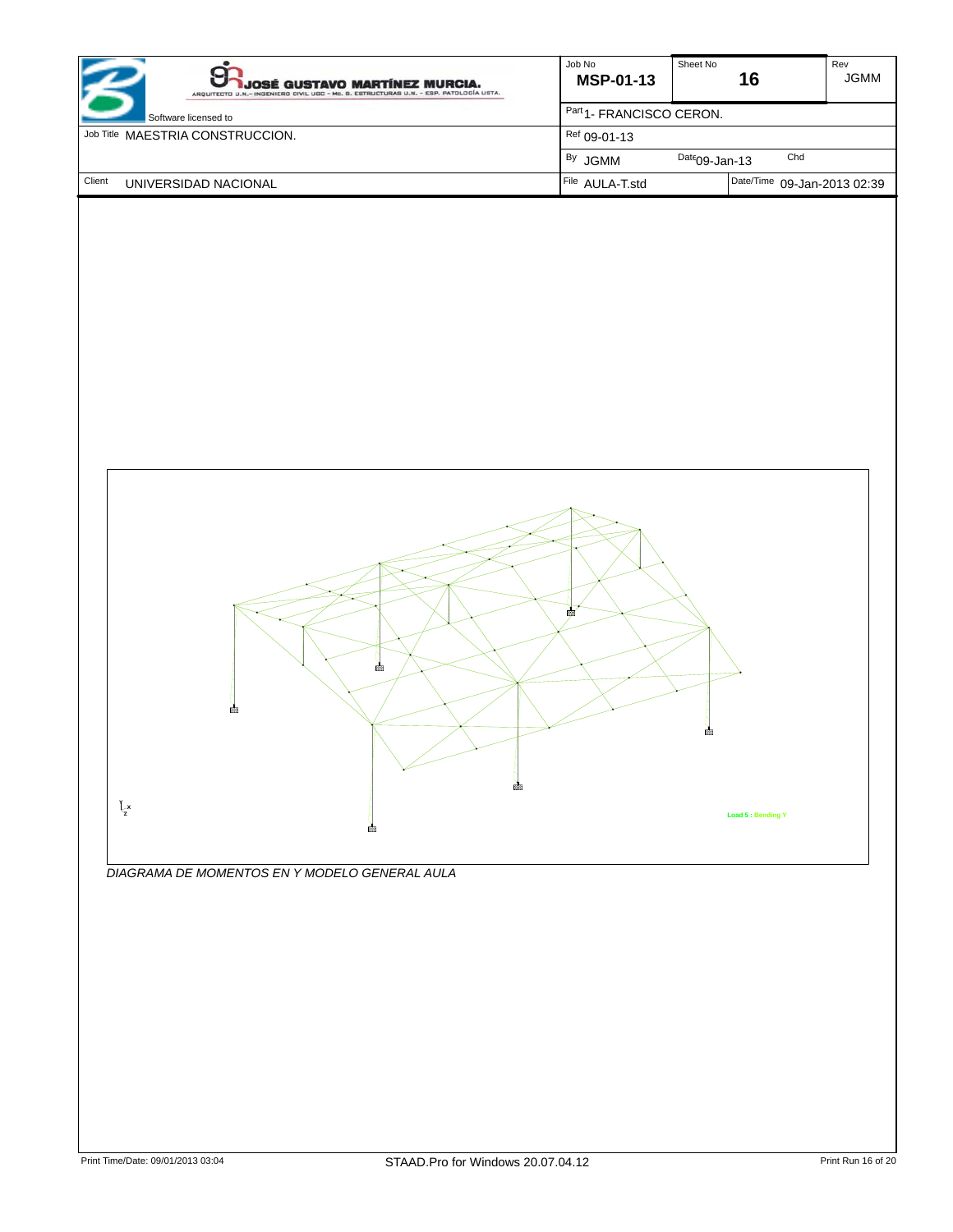| <b>JOSÉ GUSTAVO MARTÍNEZ MURCIA.</b><br>ARQUITECTO U.N.- INGENIERO CIVIL UGC - Mc. B. ESTRUCTURAS U.N. - ESP. PATOLOGÍA USTA. | Job No<br><b>MSP-01-13</b>          | Sheet No<br>16              | Rev<br><b>JGMM</b> |  |
|-------------------------------------------------------------------------------------------------------------------------------|-------------------------------------|-----------------------------|--------------------|--|
| Software licensed to                                                                                                          | Part <sub>1</sub> -FRANCISCO CERON. |                             |                    |  |
| Job Title MAESTRIA CONSTRUCCION.                                                                                              | Ref 09-01-13                        |                             |                    |  |
|                                                                                                                               | <sup>By</sup> JGMM                  | Chd<br>$Date09$ -Jan-13     |                    |  |
| Client<br>UNIVERSIDAD NACIONAL                                                                                                | File AULA-T.std                     | Date/Time 09-Jan-2013 02:39 |                    |  |



*DIAGRAMA DE MOMENTOS EN Y MODELO GENERAL AULA*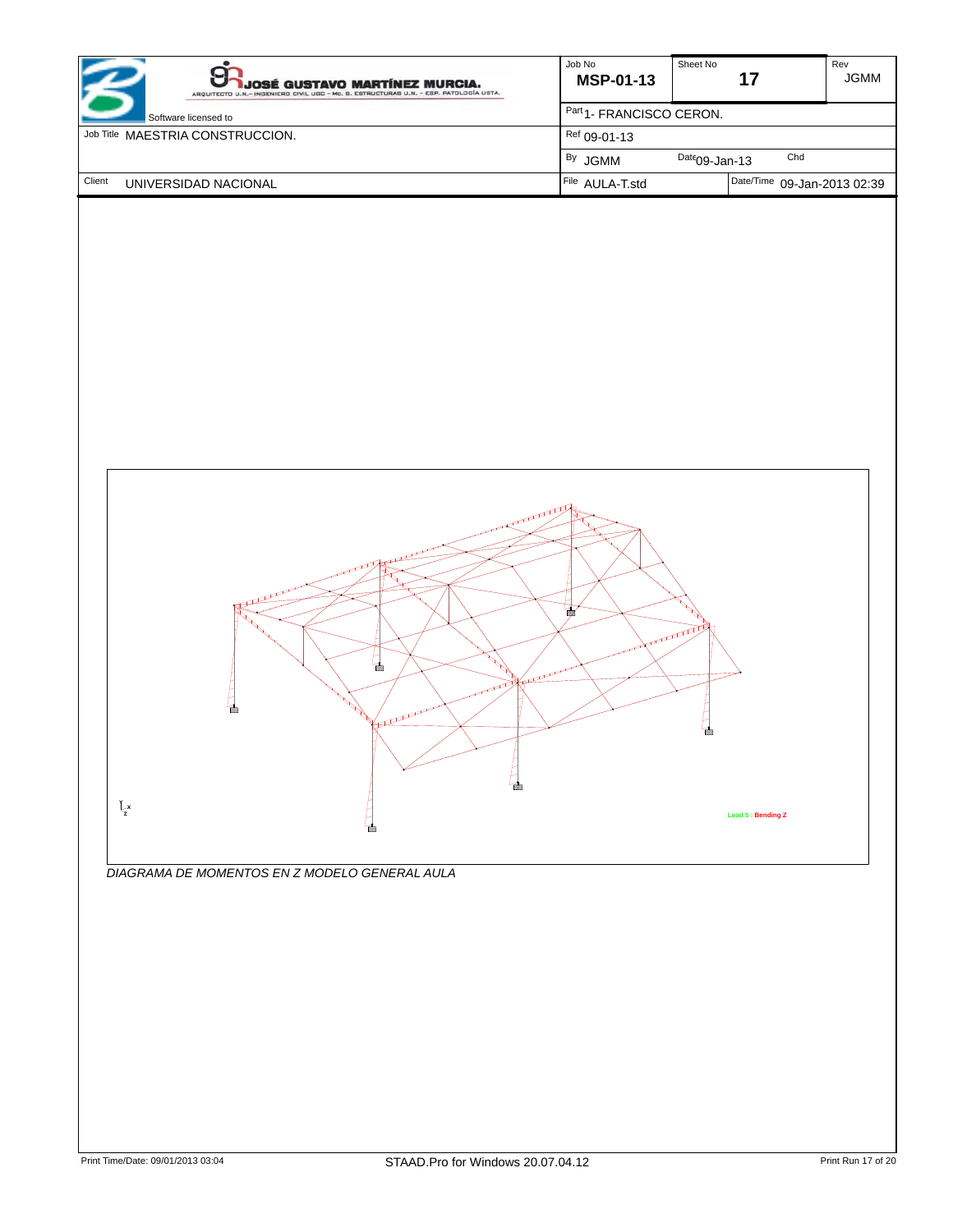| JOSÉ GUSTAVO MARTÍNEZ MURCIA.<br>ARQUITECTO U.N.- INGENIERO CIVIL UGC - Mc. B. ESTRUCTURAS U.N. - ESP. PATOLOGÍA USTA. | Job No<br><b>MSP-01-13</b>          | Sheet No         | 17                          | Rev<br><b>JGMM</b> |
|------------------------------------------------------------------------------------------------------------------------|-------------------------------------|------------------|-----------------------------|--------------------|
| Software licensed to                                                                                                   | Part <sub>1</sub> -FRANCISCO CERON. |                  |                             |                    |
| Job Title MAESTRIA CONSTRUCCION.                                                                                       | $Ref$ 09-01-13                      |                  |                             |                    |
|                                                                                                                        | <sup>By</sup> JGMM                  | $Date09$ -Jan-13 | Chd                         |                    |
| Client<br>UNIVERSIDAD NACIONAL                                                                                         | File AULA-T.std                     |                  | Date/Time 09-Jan-2013 02:39 |                    |



*DIAGRAMA DE MOMENTOS EN Z MODELO GENERAL AULA*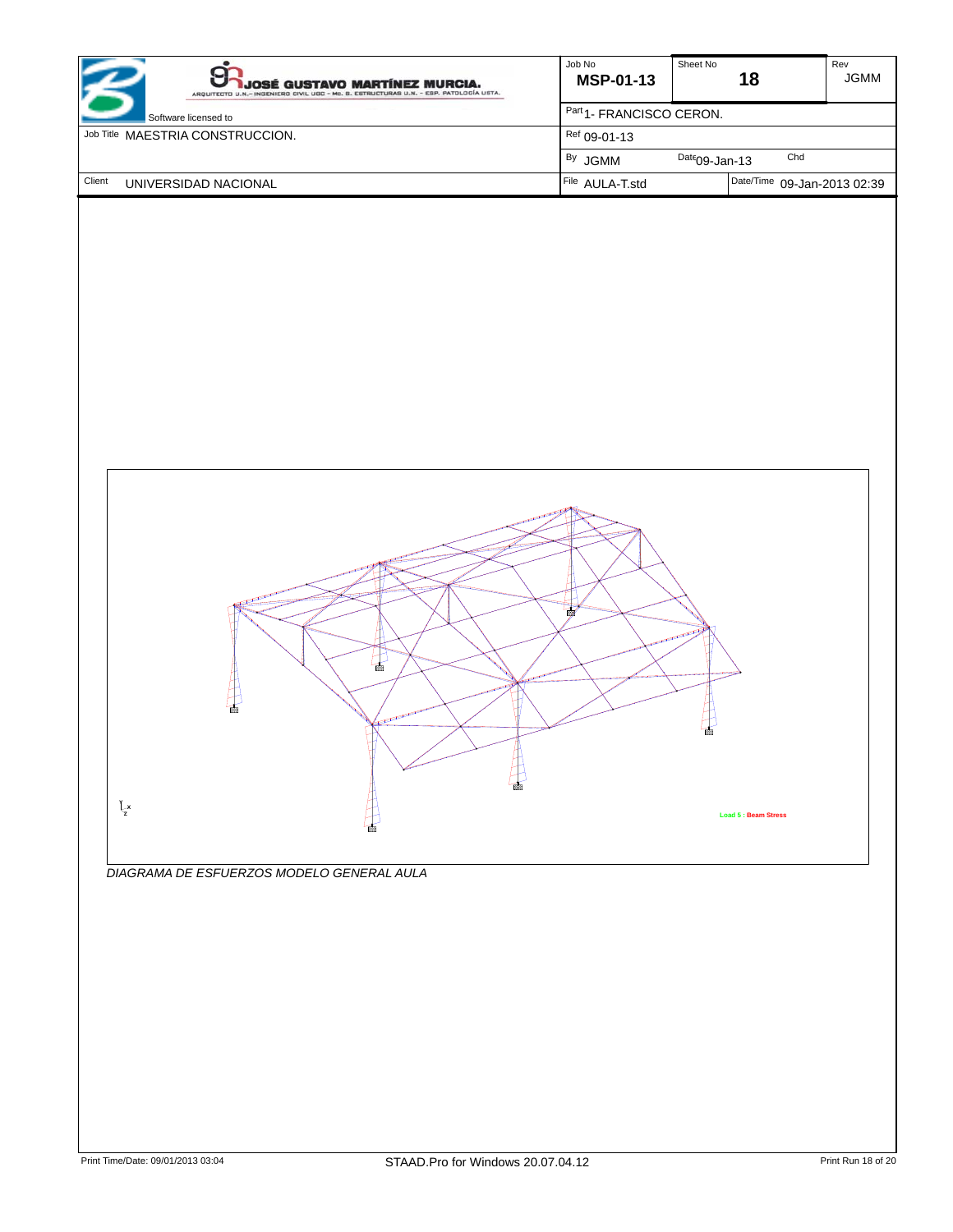| JOSÉ GUSTAVO MARTÍNEZ MURCIA.<br>ARQUITECTO U.N.- INGENIERO CIVIL UGC - Mc. B. ESTRUCTURAS U.N. - ESP. PATOLOGÍA USTA. | Job No<br><b>MSP-01-13</b>          | Sheet No         | 18                          | Rev<br><b>JGMM</b> |
|------------------------------------------------------------------------------------------------------------------------|-------------------------------------|------------------|-----------------------------|--------------------|
| Software licensed to                                                                                                   | Part <sub>1</sub> -FRANCISCO CERON. |                  |                             |                    |
| Job Title MAESTRIA CONSTRUCCION.                                                                                       | $Ref$ 09-01-13                      |                  |                             |                    |
|                                                                                                                        | <sup>By</sup> JGMM                  | $Date09$ -Jan-13 | Chd                         |                    |
| Client<br>UNIVERSIDAD NACIONAL                                                                                         | File AULA-T.std                     |                  | Date/Time 09-Jan-2013 02:39 |                    |



*DIAGRAMA DE ESFUERZOS MODELO GENERAL AULA*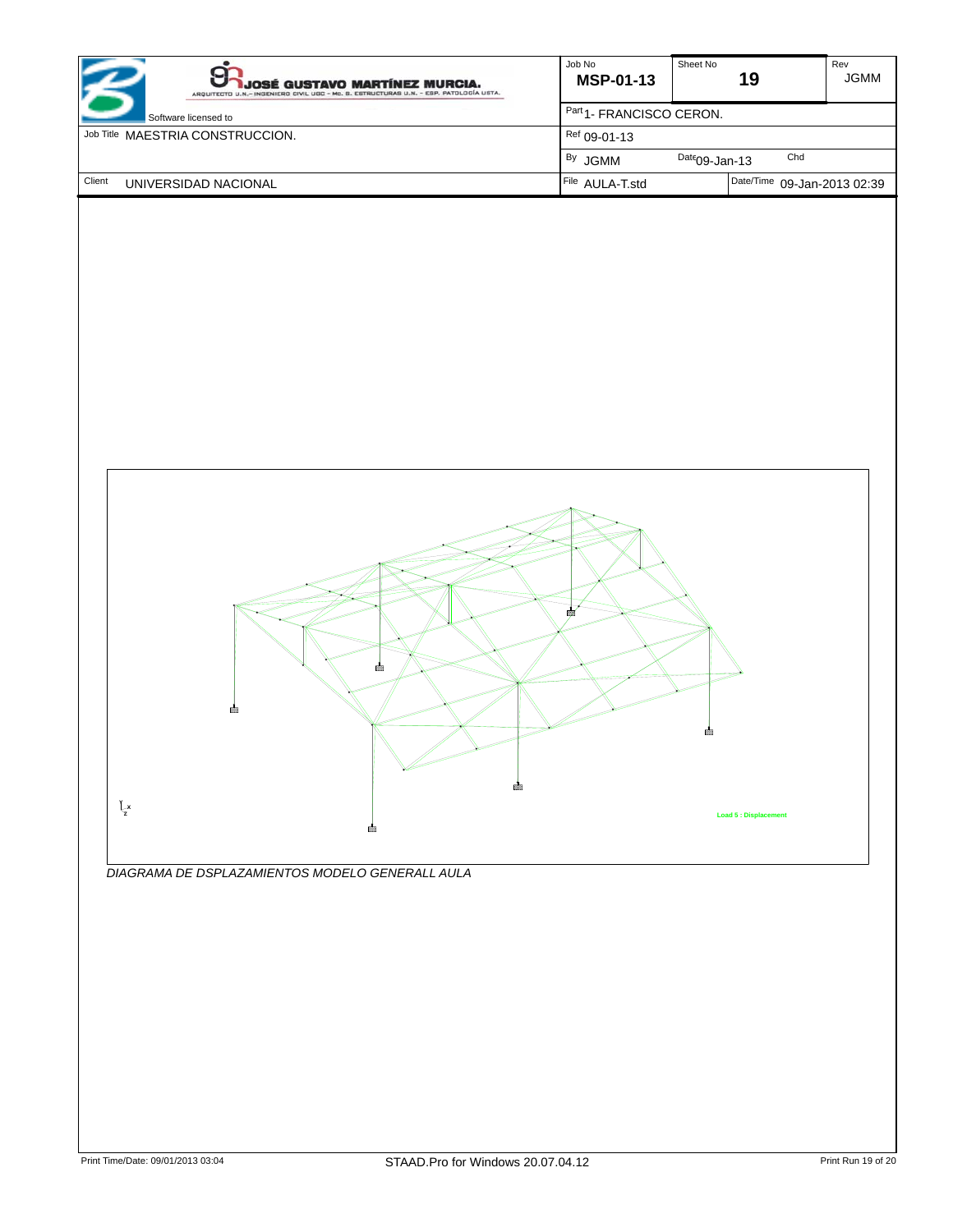| JOSÉ GUSTAVO MARTÍNEZ MURCIA.<br>ARQUITECTO U.N.- INGENIERO CIVIL UGC - Mc. B. ESTRUCTURAS U.N. - ESP. PATOLOGÍA USTA. | Job No<br><b>MSP-01-13</b>          | Sheet No         | 19                          | Rev<br><b>JGMM</b> |
|------------------------------------------------------------------------------------------------------------------------|-------------------------------------|------------------|-----------------------------|--------------------|
| Software licensed to                                                                                                   | Part <sub>1</sub> -FRANCISCO CERON. |                  |                             |                    |
| Job Title MAESTRIA CONSTRUCCION.                                                                                       | $Ref$ 09-01-13                      |                  |                             |                    |
|                                                                                                                        | <sup>By</sup> JGMM                  | $Date09$ -Jan-13 | Chd                         |                    |
| Client<br>UNIVERSIDAD NACIONAL                                                                                         | File AULA-T.std                     |                  | Date/Time 09-Jan-2013 02:39 |                    |



*DIAGRAMA DE DSPLAZAMIENTOS MODELO GENERALL AULA*